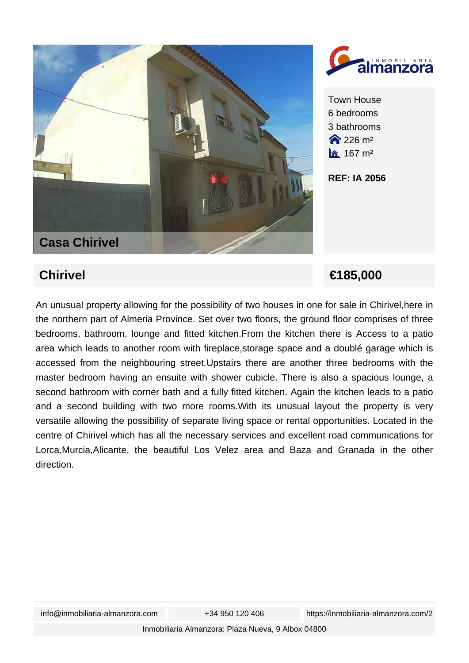



Town House 6 bedrooms 3 bathrooms  $226 \text{ m}^2$  $\hat{a}$  167 m<sup>2</sup>

**REF: IA 2056**

**Chirivel €185,000** 

An unusual property allowing for the possibility of two houses in one for sale in Chirivel,here in the northern part of Almeria Province. Set over two floors, the ground floor comprises of three bedrooms, bathroom, lounge and fitted kitchen.From the kitchen there is Access to a patio area which leads to another room with fireplace,storage space and a doublé garage which is accessed from the neighbouring street.Upstairs there are another three bedrooms with the master bedroom having an ensuite with shower cubicle. There is also a spacious lounge, a second bathroom with corner bath and a fully fitted kitchen. Again the kitchen leads to a patio and a second building with two more rooms.With its unusual layout the property is very versatile allowing the possibility of separate living space or rental opportunities. Located in the centre of Chirivel which has all the necessary services and excellent road communications for Lorca,Murcia,Alicante, the beautiful Los Velez area and Baza and Granada in the other direction.